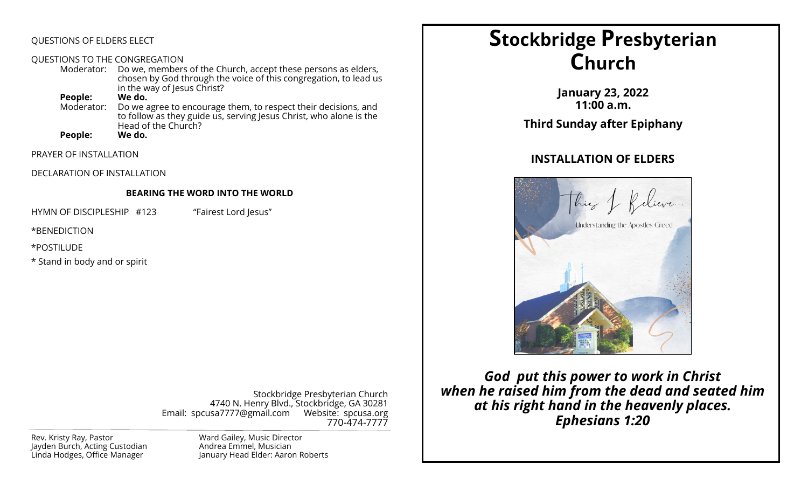### QUESTIONS OF ELDERS ELECT

#### QUESTIONS TO THE CONGREGATION

Moderator: Do we, members of the Church, accept these persons as elders, chosen by God through the voice of this congregation, to lead us in the way of Jesus Christ?

**People: We do.** Do we agree to encourage them, to respect their decisions, and to follow as they guide us, serving Jesus Christ, who alone is the Head of the Church?<br>We do.

**People:** 

PRAYER OF INSTALLATION

DECLARATION OF INSTALLATION

#### **BEARING THE WORD INTO THE WORLD**

HYMN OF DISCIPLESHIP #123 "Fairest Lord Jesus"

\*BENEDICTION

\*POSTILUDE

\* Stand in body and or spirit

Stockbridge Presbyterian Church 4740 N. Henry Blvd., Stockbridge, GA 30281 Email: spcusa7777@gmail.com Website: spcusa.org 770-474-7777

Rev. Kristy Ray, Pastor Jayden Burch, Acting Custodian Linda Hodges, Office Manager

Ward Gailey, Music Director Andrea Emmel, Musician January Head Elder: Aaron Roberts

# **Stockbridge Presbyterian Church**

**January 23, 2022 11:00 a.m. Third Sunday after Epiphany**

## **INSTALLATION OF ELDERS**



*God put this power to work in Christ when he raised him from the dead and seated him at his right hand in the heavenly places. Ephesians 1:20*